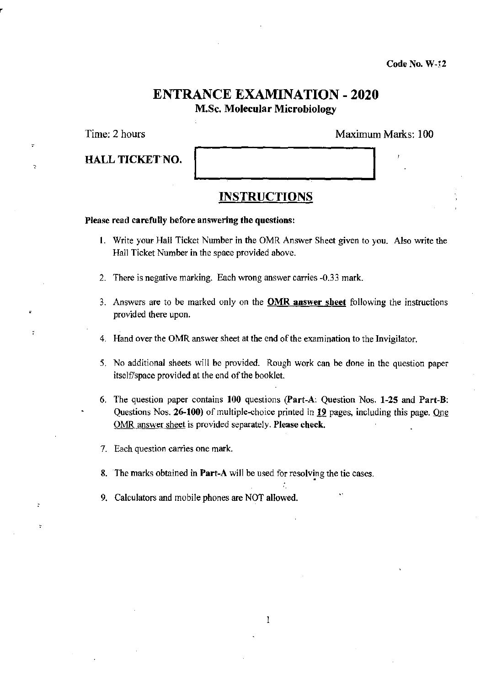Code No. W-12

# ENTRANCE EXAMINATION - 2020 M.Sc. Molecular Microbiology

•

 $\overline{z}$ 

HALL TICKET NO.

Time: 2 hours Maximum Marks: 100

### **INSTRUCTIONS**

### Please read carefully before answering the questions:

- 1. Write your Hall Ticket Number in the OMR Answer Sheet given to you. Also write the Hall Ticket Number in the space provided above.
- 2. There is negative marking. Each wrong answer carries -0.33 mark.
- 3. Answers are to be marked only on the OMR answer sheet following the instructions provided there upon.
- 4. Hand over the OMR answer sheet at the end of the examination to the Invigilator.
- 5. No additional sheets will be provided. Rough work can be done in the question paper itself/space provided at the end of the booklet.
- 6. The question paper contains 100 questions (part-A: Question Nos. 1-25 and Part-B: Questions Nos. 26-100) of multiple-choice printed in 19 pages, including this page. One OMR answer sheet is provided separately. Please check.
- 7. Each question carries one mark.
- 8. The marks obtained in Part-A will be used for resolving the tie cases.
- 9. Calculators and mobile phones are NOT allowed.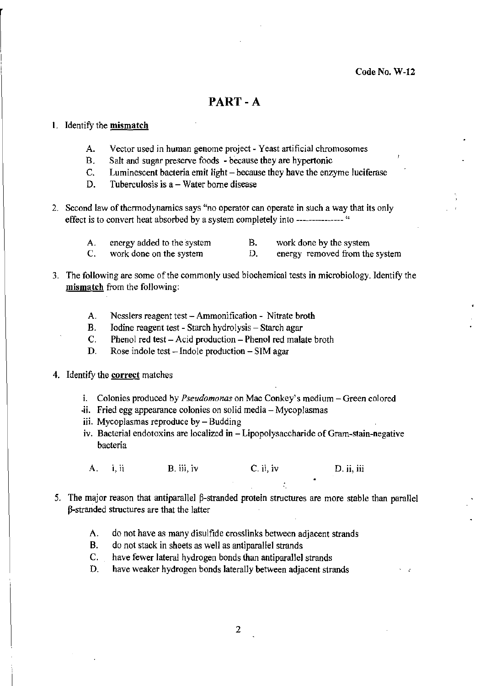## PART-A

### 1. Identify the mismatch

- A. Vector used in human genome project Yeast artificial chromosomes
- B. Salt and sugar preserve foods because they are hypertonic
- C. Luminescent bacteria emit light because they have the enzyme luciferase
- D. Tuberculosis is  $a W$ ater borne disease
- 2. Second law of thermodynamics says "no operator can operate in such a way that its only effect is to convert heat absorbed by a system completely into --------------- "
	- A. energy added to the system B. work done by the system
	- D. C. work done on the system b. energy removed from the system
- 3. The following are some of the commonly used biochemical tests in microbiology. Identify the mismatch from the following:
	- A. Nesslers reagent test Ammonification Nitrate broth
	- B. Iodine reagent test Starch hydrolysis Starch agar
	- C. Phenol red test Acid production Phenol red malate broth
	- D. Rose indole test  $-$  Indole production  $-$  SIM agar
- 4. Identify the correct matches
	- i. Colonies produced by *Pseudomonas* on Mac Conkey's medium Green colored
	- -ii. Fried egg appearance colonies on solid media Mycoplasmas
	- iii. Mycoplasmas reproduce by Budding
	- iv. Bacterial endotoxins are localized in Lipopolysaccharide of Gram-stain-negative bacteria
	- A. i, ii B. iii, iv C. ii, iv D. ii, iii
- 5. The major reason that antiparallel  $\beta$ -stranded protein structures are more stable than parallel p-strarided structures are that the latter
	- A. do not have as many disulfide crosslinks between adjacent strands
	- B. do not stack in sheets as well as antiparallel strands
	- C. have fewer lateral hydrogen bonds than antiparallel strands
	- D. have weaker hydrogen bonds laterally between adjacent strands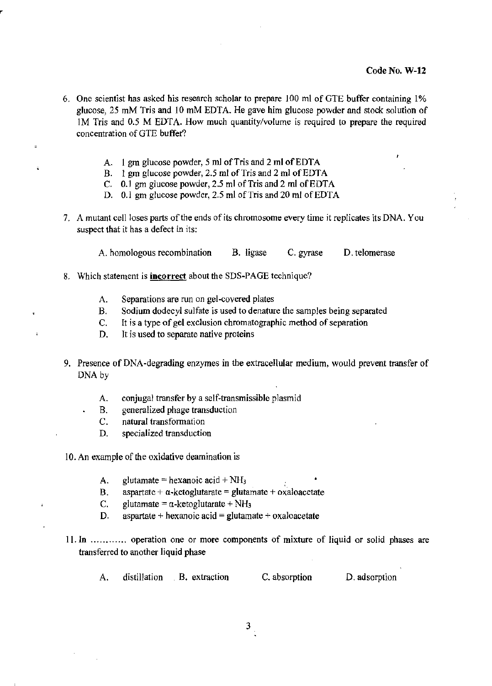- 6. One scientist has asked his research scholar to prepare 100 mt of GTE buffer containing 1% glucose, 25 mM Tris and 10 mM EDTA. He gave him glucose powder and stock solution of 1 M Tris and 0.5 M EDTA. How much quantity/volume is required to prepare the required concentration of GTE buffer'?
	- A. 1 gm glucose powder, 5 ml of Tris and 2 ml of EDTA
	- B. 1 gm glucose powder, 2.5 ml of Tris and 2 ml of EDTA
	- C. 0.1 gm glucose powder,  $2.5$  ml of Tris and  $2$  ml of EDTA
	- D. 0.1 gm glucose powder, 2.5 ml of Tris and 20 ml of EDTA
- 7. A mutant cell loses parts of the ends of its chromosome every time it replicates its DNA. You suspect that it has a defect in its:

A. homologous recombination B. ligase C. gyrase D. telomerase

- 8. Which statement is **incorrect** about the SDS-PAGE technique?
	- A. Separations are run on gel-covered plates
	- B. Sodium dodecyl sulfate is used to denature the samples being separated
	- C. It is a type of gel exclusion chromatographic method of separation
	- D. It is used to separate native proteins
- 9. Presence of DNA-degrading enzymes in the extracellular medium, would prevent transfer of DNA by
	- A. conjugal transfer by a self-transmissible plasmid
	- B. generalized phage transduction
	- C. natural transformation
	- D. specialized transduction
- 10. An example of the oxidative deamination is
	- A. glutamate = hexanoic acid +  $NH<sub>3</sub>$
	- B. aspartate +  $\alpha$ -ketoglutarate = glutamate + oxaloacetate
	- C. glutamate =  $\alpha$ -ketoglutarate + NH<sub>3</sub>
	- D. aspartate + hexanoic acid = glutamate + oxaloacetate
- 11. In ............ operation one or more components of mixture of liquid or solid phases are transferred to another liquid phase
	- A. distillation B. extraction C. absorption D. adsorption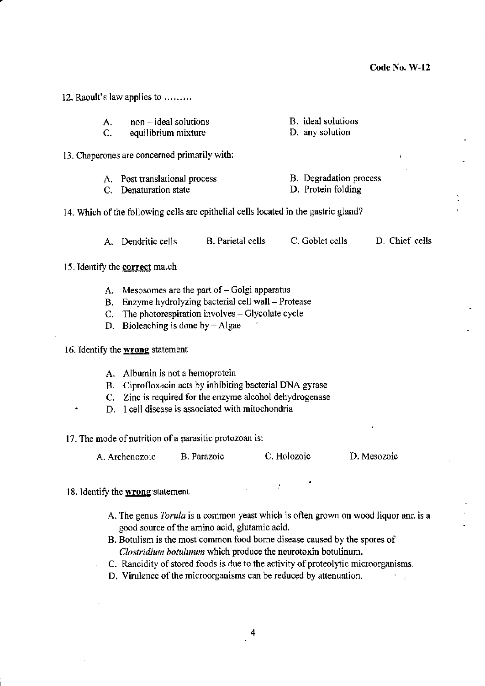A. C. non - ideal solutions equilibrium mixture 13. Chaperones are concerned primarily with: B. ideal solutions D. any solution A. Post translational process C. Denaturation state B. Degradation process D. Protein folding 14. Which of the following cells are epithelial cells located in the gastric gland? A. Dendritic cells B. Parietal cells C. Goblet cells D. Chief cells 15. Identify the **correct** match A. Mesosomes are the part of  $-$  Golgi apparatus B. Enzyme hydrolyzing bacterial cell wall- Protease C. The photorespiration involves  $-$  Glycolate cycle D. Bioleaching is done by  $-Algae$ 16. Identify the wrong statement A. Albumin is not a hemoprotein B. Ciprofloxacin acts by inhibiting bacterial DNA gyrase C. Zinc is required for the enzyme alcohol dehydrogenase D. I cell disease is associated with mitochondria 17. The mode of nutrition of a parasitic protozoan is: A. Archenozoic B. Parazoic C. Holozoic D. Mesozoic 18. Identify the wrong statement A. The genus *Torula* is a common yeast which is often grown on wood liquor and is a good source of the amino acid, glutamic acid. B. Botulism is the most common food borne disease caused by the spores of *Clostridium botulinum* which produce the neurotoxin botulinum. C. Rancidity of stored foods is due to the activity of proteolytic microorganisms. D. Virulence of the microorganisms can be reduced by attenuation.

12. Raoult's law applies to ........ .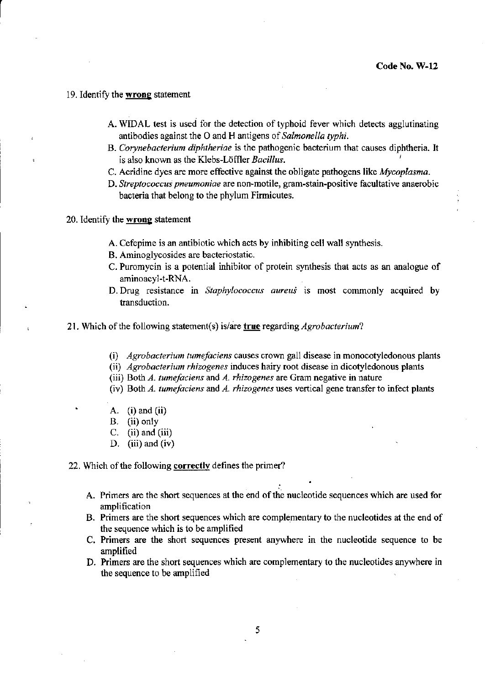### 19. Identify the **wrong** statement

r

- A. WIDAL test is used for the detection of typhoid fever which detects agglutinating antibodies against the 0 and H antigens of *Salmonella typhi.*
- B. *Corynebacterium diphtheriae* is the pathogenic bacterium that causes diphtheria. It is also known as the Klebs-Loffler *Bacillus.* <sup>I</sup>
- C. Acridine dyes are more effective against the obligate pathogens like *Mycoplasma.*
- D. *Streptococcus pneumoniae* are non-motile, gram-stain-positive facultative anaerobic bacteria that belong to the phylum Firmicutes.
- 20. Identify the **wrong** statement
	- A. Cefepime is an antibiotic which acts by inhibiting cell wall synthesis.
	- B. Aminoglycosides are bacteriostatic.
	- C. Puromycin is a potential inhibitor of protein synthesis that acts as an analogue of aminoacyl-t-RNA.
	- D. Drug resistance in *Staphylococcus aureus* is most commonly acquired by transduction.
- 21. Which of the following statement( s) is/are **true** regarding *Agrobacterium?* 
	- (i) *Agrobacterium tumefaciens* causes crown gall disease in monocotyledonous plants
	- (ii) *Agrobacterium rhizogenes* induces hairy root disease in dicotyledonous plants
	- (iii) Both *A. tumefaciens* and *A. rhizogenes* are Gram negative in nature
	- (iv) Both *A. tumefaciens* and *A. rhizogenes* uses vertical gene transfer to infect plants
	- A. (i) and (ii)
	- B. (ii) only
	- C.  $(ii)$  and  $(iii)$
	- D. (iii) and (iv)

22. Which of the following **correctly** defines the primer?

- A. Primers are the short sequences at the end of the nucleotide sequences which are used for amplification
- B. Primers are the short sequences which are complementary to the nucleotides at the end of the sequence which is to be amplified
- C. Primers are the short sequences present anywhere in the nucleotide sequence to be amplified
- D. Primers are the short sequences which are complementary to the nucleotides anywhere in the sequence to be amplified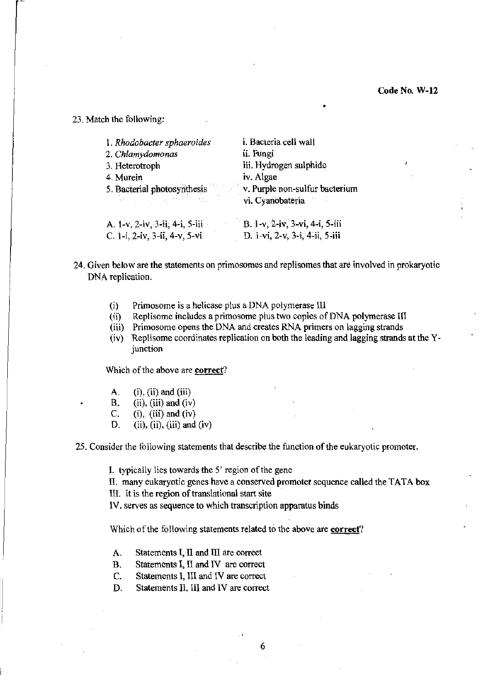•

23. Match the following:

| 1. Rhodobacter sphaeroides     | i. Bacteria cell wall          |
|--------------------------------|--------------------------------|
| 2. Chlamydomonas               | ii. Fungi                      |
| 3. Heterotroph                 | iii. Hydrogen sulphide         |
| 4. Murein                      | iv. Algae                      |
| 5. Bacterial photosynthesis    | v. Purple non-sulfur bacterium |
| di fillo                       | vi. Cyanobateria               |
| A. 1-v, 2-iv, 3-ii, 4-i, 5-iii | B. 1-v, 2-iv, 3-vi, 4-i, 5-iii |
| C. 1-i, 2-iv, 3-ii, 4-v, 5-vi  | D. 1-vi, 2-v, 3-i, 4-ji, 5-jii |

- 24. Given below are the statements on primosomes and replisomes that are involved in prokaryotic DNA replication.
	- (i) Primosome is a helicase plus a DNA polymerase III
	- (ii) Replisome includes a primosome plus two copies of DNA polymerase III
	- (iii) Primosome opens the DNA and creates RNA primers on lagging strands
	- (iv) Replisome coordinates replication on both the leading and lagging strands at the Yjunction

Which of the above are correct?

- A. (i), (ii) and (iii)
- B. (ii), (iii) and (iv)
- C. (i), (iii) and (iv)
- D. (ii), (iii), (iii) and (iv)

25. Consider the following statements that describe the function of the eukaryotic promoter.

I. typically lies towards the 5' region of the gene

II. many eukaryotic genes have a conserved promoter sequence called the TATA box

III. it is the region of translational start site '

IV. serves as sequence to which transcription apparatus binds

Which of the following statements related to the above are correct?

- A. Statements I, II and III are correct
- B. Statements I, II and IV are correct
- C. Statements I, III and IV are correct
- D. Statements II, III and IV are correct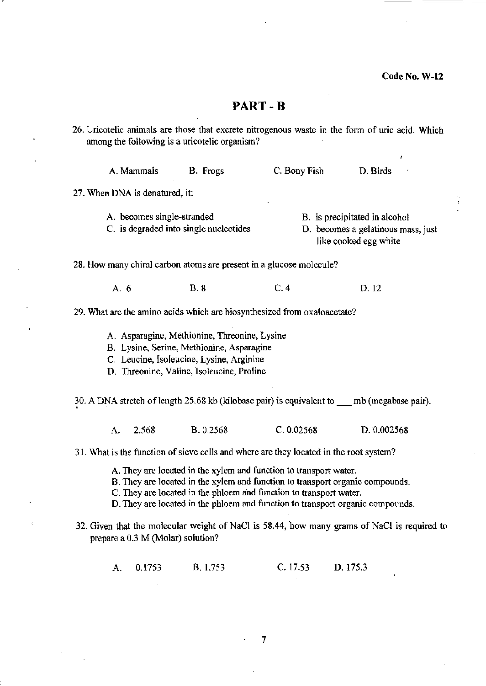ÿ

| 26. Uricotelic animals are those that excrete nitrogenous waste in the form of uric acid. Which<br>among the following is a uricotelic organism? |                                   |                                                                                                                                                                                    |                                                                                                                                                                                                                                                                                                            |                                                                                              |
|--------------------------------------------------------------------------------------------------------------------------------------------------|-----------------------------------|------------------------------------------------------------------------------------------------------------------------------------------------------------------------------------|------------------------------------------------------------------------------------------------------------------------------------------------------------------------------------------------------------------------------------------------------------------------------------------------------------|----------------------------------------------------------------------------------------------|
|                                                                                                                                                  | A. Mammals                        | B. Frogs                                                                                                                                                                           | C. Bony Fish                                                                                                                                                                                                                                                                                               | D. Birds                                                                                     |
|                                                                                                                                                  | 27. When DNA is denatured, it:    |                                                                                                                                                                                    |                                                                                                                                                                                                                                                                                                            |                                                                                              |
|                                                                                                                                                  | A. becomes single-stranded        | C. is degraded into single nucleotides                                                                                                                                             |                                                                                                                                                                                                                                                                                                            | B. is precipitated in alcohol<br>D. becomes a gelatinous mass, just<br>like cooked egg white |
|                                                                                                                                                  |                                   |                                                                                                                                                                                    | 28. How many chiral carbon atoms are present in a glucose molecule?                                                                                                                                                                                                                                        |                                                                                              |
|                                                                                                                                                  | A. 6                              | <b>B.</b> 8                                                                                                                                                                        | C.4                                                                                                                                                                                                                                                                                                        | D.12                                                                                         |
|                                                                                                                                                  |                                   |                                                                                                                                                                                    | 29. What are the amino acids which are biosynthesized from oxaloacetate?                                                                                                                                                                                                                                   |                                                                                              |
|                                                                                                                                                  |                                   | A. Asparagine, Methionine, Threonine, Lysine<br>B. Lysine, Serine, Methionine, Asparagine<br>C. Leucine, Isoleucine, Lysine, Arginine<br>D. Threonine, Valine, Isoleucine, Proline |                                                                                                                                                                                                                                                                                                            |                                                                                              |
|                                                                                                                                                  |                                   |                                                                                                                                                                                    | 30. A DNA stretch of length 25.68 kb (kilobase pair) is equivalent to mb (megabase pair).                                                                                                                                                                                                                  |                                                                                              |
|                                                                                                                                                  | 2.568<br>A.                       | <b>B.</b> 0.2568                                                                                                                                                                   | C. 0.02568                                                                                                                                                                                                                                                                                                 | D. 0.002568                                                                                  |
|                                                                                                                                                  |                                   |                                                                                                                                                                                    | 31. What is the function of sieve cells and where are they located in the root system?                                                                                                                                                                                                                     |                                                                                              |
|                                                                                                                                                  |                                   |                                                                                                                                                                                    | A. They are located in the xylem and function to transport water.<br>B. They are located in the xylem and function to transport organic compounds.<br>C. They are located in the phloem and function to transport water.<br>D. They are located in the phloem and function to transport organic compounds. |                                                                                              |
|                                                                                                                                                  | prepare a 0.3 M (Molar) solution? |                                                                                                                                                                                    |                                                                                                                                                                                                                                                                                                            | 32. Given that the molecular weight of NaCl is 58.44, how many grams of NaCl is required to  |

A. 0.1753 B. 1.753 C. 17.53 D.175.3

 $\sim$ 

 $\hat{\beta}$ 

7

 $\sim 10$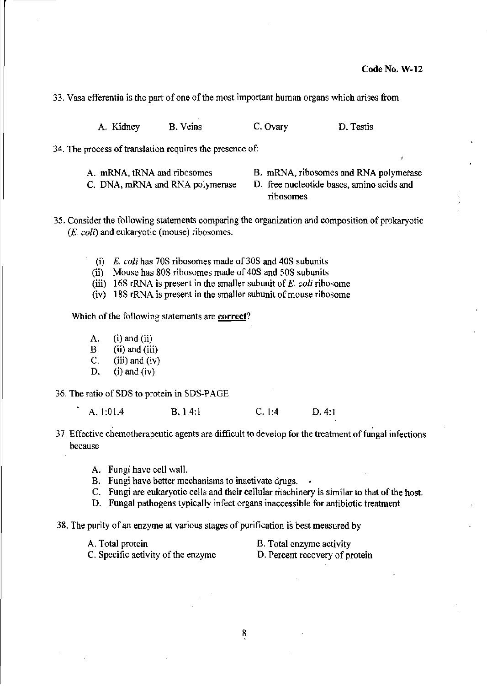33. Vasa efferentia is the part of one of the most important human organs which arises from

A. Kidney B. Veins C. Ovary D. Testis

34. The process of translation requires the presence of:

A. mRNA, tRNA and ribosomes

- C. DNA, mRNA and RNA polymerase
- B. mRNA, ribosomes and RNA polymerase
- D. free nucleotide bases, amino acids and ribosomes

35. Consider the following statements comparing the organization and composition of prokaryotic (E. *coli)* and eukaryotic (mouse) ribosomes.

- (i) *E. coli* has 70S ribosomes made of 30S and 40S subunits
- (ii) Mouse has 80S ribosomes made of 408 and 50S subunits
- (iii) 168 rRNA is present in the smaller subunit of *E. coli* ribosome
- (iv) 18S rRNA is present in the smaller subunit of mouse ribosome

Which of the following statements are correct?

A.  $(i)$  and  $(ii)$ B. (ii) and (iii) C. (iii) and (iv) D. (i) and (iv)

36. The ratio of SDS to protein in SDS-PAGE

A. 1:01.4 B. 1.4:1 C. 1:4 D. 4:1

- 37. Effective chemotherapeutic agents are difficult to develop for the treatment of fungal infections because
	- A. Fungi have cell wall.
	- B. Fungi have better mechanisms to inactivate drugs.
	- c. Fungi are eukaryotic cells and their cellular machinery is similar to that of the host.
	- D. Fungal pathogens typically infect organs inaccessible for antibiotic treatment
- 38. The purity of an enzyme at various stages of purification is best measured by

A. Total protein B. Total enzyme activity

C. Specific activity of the enzyme D. Percent recovery of protein

8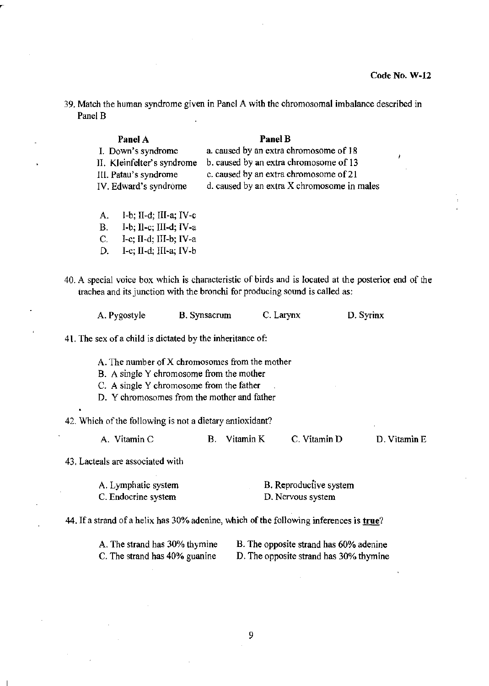D. Vitamin E

39. Match the human syndrome given in Panel A with the chromosomal imbalance described in Panel B

| Panel B                                     |
|---------------------------------------------|
| a. caused by an extra chromosome of 18      |
| b. caused by an extra chromosome of 13      |
| c. caused by an extra chromosome of 21      |
| d. caused by an extra X chromosome in males |
|                                             |
|                                             |

- A.  $I-b$ ; II-d; III-a; IV-c
- $B.$  I-b; II-c; III-d; IV-a
- C. I-c; II-d; III-b; IV-a
- D. I-c; II-d; III-a; IV-b
- 40. A special voice box which is characteristic of birds and is located at the posterior end of the trachea and its junction with the bronchi for producing sound is called as:

| A. Pygostyle | <b>B.</b> Synsacrum | C. Larynx | D. Syrinx |
|--------------|---------------------|-----------|-----------|
|              |                     |           |           |

41. The sex of a child is dictated by the inheritance of:

A. The number of X chromosomes from the mother

B. A single Y chromosome from the mother

- C. A single Y chromosome from the father
- D. Y chromosomes from the mother and father

42. Which of the following is not a dietary antioxidant?

A. Vitamin C B. Vitamin K C. Vitamin D

43. Lacteals are associated with

| A. Lymphatic system | B. Reproductive system |
|---------------------|------------------------|
| C. Endocrine system | D. Nervous system      |

44. If a strand of a helix has 30% adenine, which of the following inferences is true?

| A. The strand has 30% thymine | B. The opposite strand has 60% adenine |
|-------------------------------|----------------------------------------|
| C. The strand has 40% guanine | D. The opposite strand has 30% thymine |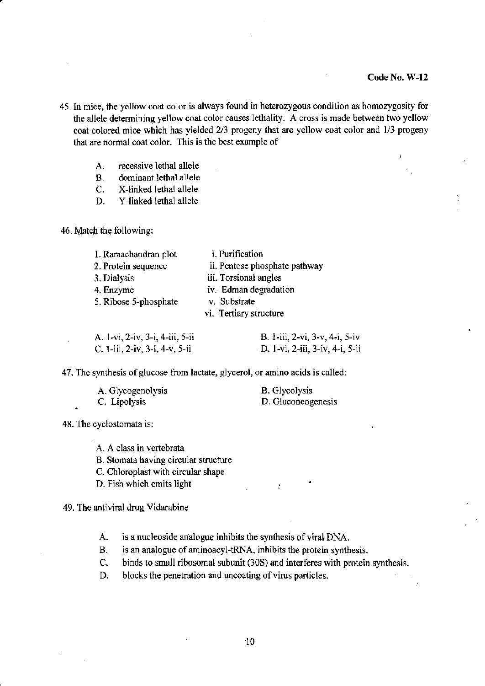- 45. In mice, the yellow coat color is always found in heterozygous condition as homozygosity for the allele determining yellow coat color causes lethality. A cross is made between two yellow coat colored mice which has yielded 2/3 progeny that are yellow coat color and 1/3 progeny that are normal coat color. This is the best example of
	- A. recessive lethal allele
	- B. dominant lethal allele
	- C. X-linked lethal allele
	- D. Y-linked lethal allele

46. Match the following:

| 1. Ramachandran plot            | <i>i</i> . Purification         |
|---------------------------------|---------------------------------|
| 2. Protein sequence             | ii. Pentose phosphate pathway   |
| 3. Dialysis                     | iii. Torsional angles           |
| 4. Enzyme                       | iv. Edman degradation           |
| 5. Ribose 5-phosphate           | v. Substrate                    |
|                                 | vi. Tertiary structure          |
| A. 1-vi, 2-iv, 3-i, 4-iii, 5-ii | B. 1-iii, 2-vi, 3-v, 4-i, 5-iv  |
| C. 1-iii, 2-iv, 3-i, 4-v, 5-ii  | D. 1-vi, 2-iii, 3-iv, 4-i, 5-ii |

47. The synthesis of glucose from lactate, glycerol, or amino acids is called:

| A. Glycogenolysis | <b>B.</b> Glycolysis |
|-------------------|----------------------|
| C. Lipolysis      | D. Gluconeogenesis   |

48. The cyclostomata is:

A. A class in vertebrata

B. Stomata having circular structure

C. Chloroplast with circular shape

D. Fish which emits light

49. The antiviral drug Vidarabine

A. is a nucleoside analogue inhibits the synthesis of viral DNA.

B. is an analogue of aminoacyl-tRNA, inhibits the protein synthesis.

C. binds to small ribosomal subunit (30S) and interferes with protein synthesis.

÷.

D. blocks the penetration and uncoating of virus particles.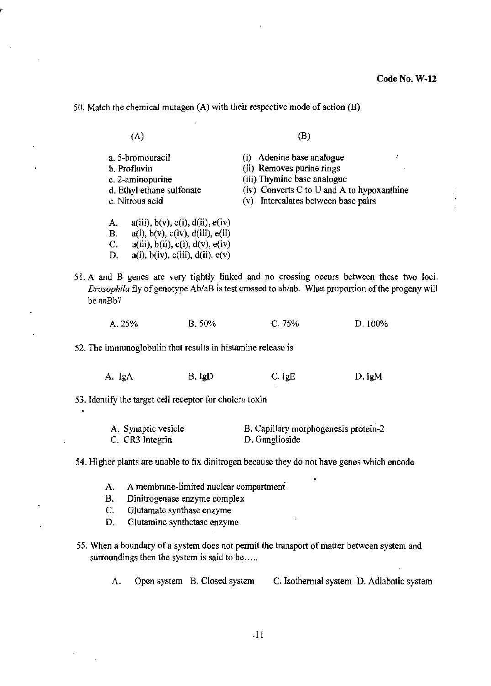50. Match the chemical mutagen (A) with their respective mode of action (B)

(A)

a. 5-hromouracil h. Proflavin c. 2-aminopurine d. Ethyl ethane sulfonate

B.  $a(i)$ ,  $b(v)$ ,  $c(iv)$ ,  $d(iii)$ ,  $e(ii)$ C.  $a(iii)$ ,  $b(ii)$ ,  $c(i)$ ,  $d(v)$ ,  $e(iv)$ D.  $a(i)$ ,  $b(iv)$ ,  $c(iii)$ ,  $d(ii)$ ,  $e(v)$  (B)

- e. Nitrous acid A.  $a(iii)$ ,  $b(v)$ ,  $c(i)$ ,  $d(ii)$ ,  $e(iv)$ (i) Adenine base analogue (ii) Removes purine rings (iii) Thymine base analogue (iv) Converts C to U and A to hypoxanthine (v) Intercalates between base pairs
- 51. A and B genes are very tightly linked and no crossing occurs between these two loci. *Drosophila* fly of genotype *Ab/aB* is test crossed to ab/ab. What proportion of the progeny will be aaBb?

|  | A.25% | B.50% | C.75% | D.100% |
|--|-------|-------|-------|--------|
|--|-------|-------|-------|--------|

52. The immunoglobulin that results in histamine release is

| A. IgA | B. IgD | $C.$ IgE | D. IgM |
|--------|--------|----------|--------|
|        |        |          |        |

53. Identify the target cell receptor for cholera toxin

| A. Synaptic vesicle | B. Capillary morphogenesis protein-2 |
|---------------------|--------------------------------------|
| C. CR3 Integrin     | D. Ganglioside                       |

54. Higher plants are unable to fix dinitrogen because they do not have genes which encode

- A. A membrane-limited nuclear compartment.
- B. Dinitrogenase enzyme complex
- C. Glutamate synthase enzyme
- D. Glutamine synthetase enzyme
- 55. When a boundary of a system does not permit the transport of matter between system and surroundings then the system is said to be.....

A. Open system B. Closed system C. Isothermal system D. Adiabatic system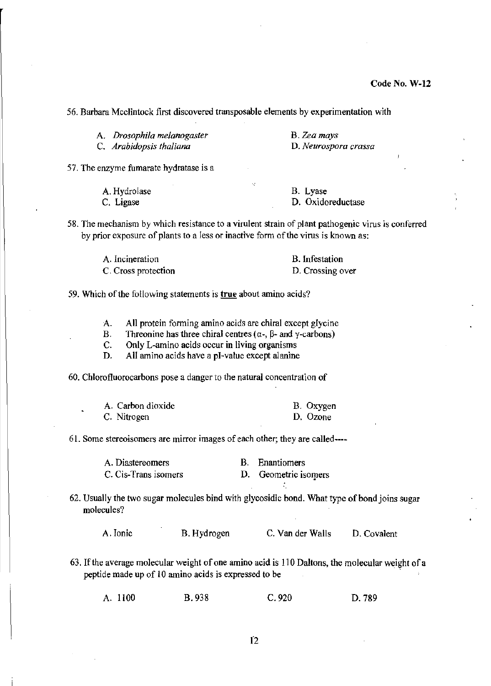56. Barhara Mcclintock first discovered transposable elements by experimentation with

| A. Drosophila melanogaster | B. Zea mays          |
|----------------------------|----------------------|
| C. Arabidopsis thaliana    | D. Neurospora crassa |

57. The enzyme fumarate hydratase is a

| A. Hydrolase | B. Lyase          |
|--------------|-------------------|
| C. Ligase    | D. Oxidoreductase |

58. The mechanism by which resistance to a virulent strain of plant pathogenic virus is conferred by prior exposure of plants to a less or inactive form of the virus is known as:

| A. Incineration     | <b>B.</b> Infestation |
|---------------------|-----------------------|
| C. Cross protection | D. Crossing over      |

59. Which of the following statements is true about amino acids?

A. All protein forming amino acids are chiral except glycine

B. Threonine has three chiral centres ( $\alpha$ -,  $\beta$ - and  $\gamma$ -carbons)

C. Only L-amino acids occur in living organisms

D, All amino acids have a pI-value except alanine

60. Chlorofluorocarbons pose a danger to the natural concentration of

| A. Carbon dioxide | B. Oxygen |
|-------------------|-----------|
| C. Nitrogen       | D. Ozone  |

61. Some stereoisomers are mirror images of each other; they are called----

| A. Diastereomers     | B. Enantiomers       |
|----------------------|----------------------|
| C. Cis-Trans isomers | D. Geometric isomers |

62. Usually the two sugar molecules bind with glycosidic bond. What type of bond joins sugar molecules?

A. Ionic B. Hydrogen C. Van der Walls D. Covalent

63. If the average molecular weight of one amino acid is 110 Daltons, the molecular weight of a peptide made up of 10 amino acids is expressed to be '

A. 1100 B.938 C.920 D.789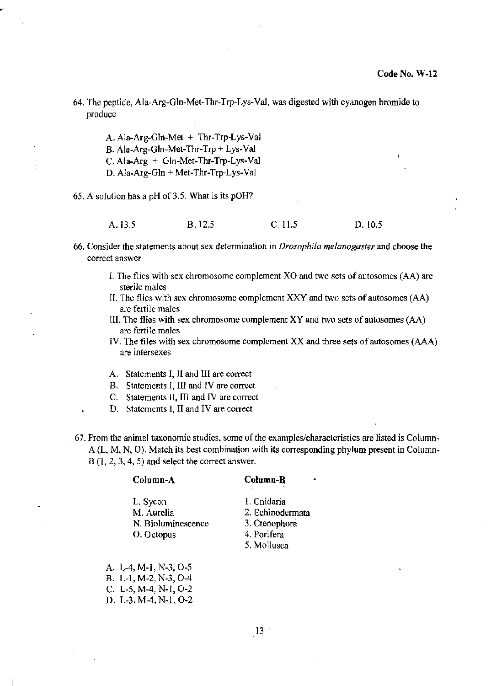64. The peptide, Ala-Arg-Gln-Met-Thr.Trp-Lys-Val, was digested with cyanogen bromide to produce

A. Ala-Arg-Gln-Met + Thr-Trp-Lys-Val B. Ala-Arg-Gln-Met-Thr-Trp + Lys-Val C.Ala-Arg + Gln-Met-Thr-Trp-Lys-Val D. Ala-Arg-Gln + Met-Thr-Trp-Lys-Val

65. A solution has a pH of 3.5. What is its pOH?

A.13.5 B.12.5 C.11.5 D.10.5

- 66. Consider the statements about sex determination in *Drosophila melanogaster* and choose the correct answer
	- 1. The flies with sex chromosome complement XO and two sets of autosornes (AA) are sterile males
	- II. The flies with sex chromosome complement XXV and two sets of autosomes (AA) are fertile males
	- III. The flies with sex chromosome complement XY and two sets of autosomes (AA) are fertile males
	- IV. The files with sex chromosome complement XX and three sets of autosomes (AAA) are intersexes
	- A. Statements I, II and III are correct
	- B. Statements I, III and IV are correct
	- C. Statements II, III and IV are correct
	- D. Statements I, II and IV are correct
- 67. From the animal taxonomic studies, some of the examples/characteristics are listed is Column~ A (L, M, N, 0). Match its best combination with its corresponding phylum present in Column~ B (1, 2, 3, 4, 5) and select the correct answer.

| Column-B         |
|------------------|
| 1. Cnidaria      |
| 2. Echinodermata |
| 3. Ctenophora    |
| 4. Porifera      |
| 5. Mollusca      |
|                  |

A. L-4. M-1. N-3. 0-5 B. L-I,M-2.N-3.0-4 C. L-5, M-4. N-I, 0-2 D. L-3.M-4. N-I. 0-2

 $\left(13\right)$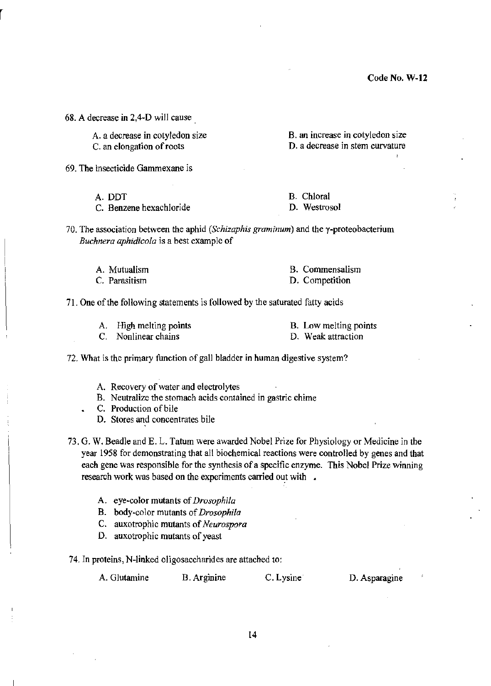68. A decrease in 2,4-D will cause.

A. a decrease in cotyledon size C. an elongation of roots

B. an increase in cotyledon size

69. The insecticide Gammexane is

A.DDT

C. Benzene hexachloride

D. a decrease in stem curvature

B. Chloral D. Westrosol

70. The association between the aphid *(Schizaphis graminum)* and the y-proteobacterium *Buchnera aphidicola* is a best example of

| A. Mutualism  | B. Commensalism |
|---------------|-----------------|
| C. Parasitism | D. Competition  |

71. One of the following statements is followed by the saturated fatty acids

A. High melting points

B. Low melting points

C. Nonlinear chains

D. Weak attraction

72. What is the primary flmction of gall bladder in human digestive system?

A. Recovery of water and electrolytes

- B. Neutralize the stomach acids contained in gastric chime
- C. Production of bile
- D. Stores and concentrates bile
- 73. G. W. Beadle and E. L. Tatum were awarded Nohel Prize for Physiology or Medicine in the year 1958 for demonstrating that all biochemical reactions were controlled by genes and that each gene was responsible for the synthesis of a specific enzyme. This Nobel Prize winning research work was based on the experiments carried out with.
	- A. eye-color mutants of *Drosophila*
	- B. body-color mutants of *Drosophila*
	- C. auxotrophic mutants of *Neurospora*
	- D. auxotrophic mutants of yeast

74. In proteins, N-linked oligosaccharides are attached to:

A. Glutamine B. Arginine C. Lysine D. Asparagine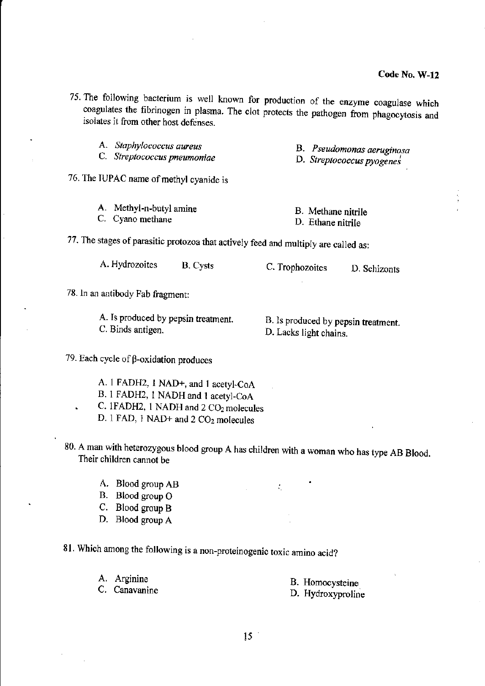- 75. The following bacterium is well known for production of the enzyme coagulase which coagulates the fibrinogen in plasma. The clot protects the pathogen from phagocytosis and isolates it from other host defenses.
	- A. *Staphylococcus aureus*

C. *Streptococcus pneumoniae* 

- B. *Pseudomonas aeruginosa* , D. *Streptococcus pyogenes* 
	-
- 76. The IUPAC name of methyl cyanide is

| A. Methyl-n-butyl amine | B. Methane nitrile |
|-------------------------|--------------------|
| C. Cyano methane        | D. Ethane nitrile  |

77. The stages of parasitic protozoa that actively feed and multiply are called as:

| A. Hydrozoites | <b>B.</b> Cysts | C. Trophozoites | D. Schizonts |
|----------------|-----------------|-----------------|--------------|
|----------------|-----------------|-----------------|--------------|

78. In an antibody Fab fragment:

A. Is produced by pepsin treatment. C. Binds antigen.

B. Is produced by pepsin treatment. D. Lacks light chains.

79. Each cycle of  $\beta$ -oxidation produces

- A. 1 FADH2, 1 NAD+, and 1 acetyl-CoA B. I FADH2, 1 NADH and 1 acetyl-CoA C. 1FADH2, 1 NADH and 2 CO<sub>2</sub> molecules
- D. 1 FAD, 1 NAD+ and 2 CO<sub>2</sub> molecules
- 80. A man with heterozygous blood group A has children with a woman who has type AB Blood. Their children cannot be
	- A. Blood group AB
	- B. Blood group O
	- C. Blood group B
	- D. Blood group A

81. Which among the following is a non-proteinogenic toxic amino acid?

A. Arginine

C. Canavanine

- B. Homocysteine
- D. Hydroxyproline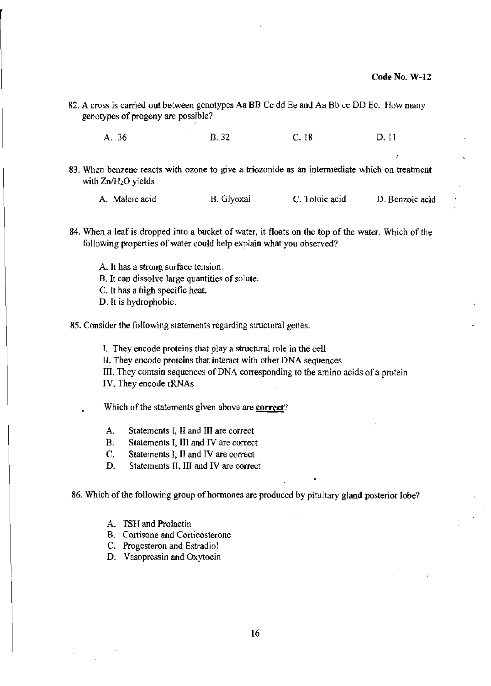82. A cross is carried out between genotypes Aa BB Cc dd Ee and Aa Bb cc DO Ee. How many genotypes of progeny are possible?

A.36 B. 32 C.18 D. II

- 83. When benzene reacts with ozone to give a triozonide as an intermediate which on treatment with  $Zn/H<sub>2</sub>O$  yields
	- A. Maleic acid B. Glyoxal C. Toluic acid D. Benzoic acid
- 84. When a leaf is dropped into a bucket of water, it floats on the top of the water. Which of the following properties of water could help explain what you observed?
	- A. It has a strong surface tension.
	- B. It can dissolve large quantities of solute.
	- C. It has a high specific heat.
	- D. It is hydrophobic.
- 85. Consider the following statements regarding structural genes.
	- I. They encode proteins that playa structural role in the cell
	- fl. They encode proteins that interact with other DNA sequences
	- III. They contain sequences of DNA corresponding to the amino acids of a protein

IV. They encode rRNAs

Which of the statements given above are correct?

- A. Statements [, II and III are correct
- B. Statements I, III and IV are correct
- C. Statements I, II and IV are correct
- D. Statements II, III and IV are correct

86. Which of the following group of hormones are produced by pituitary gland posterior lobe?

A. TSH and Prolactin

- B. Cortisone and Corticosterone
- C. Progesteron and Estradiol
- D. Vasopressin and Oxytocin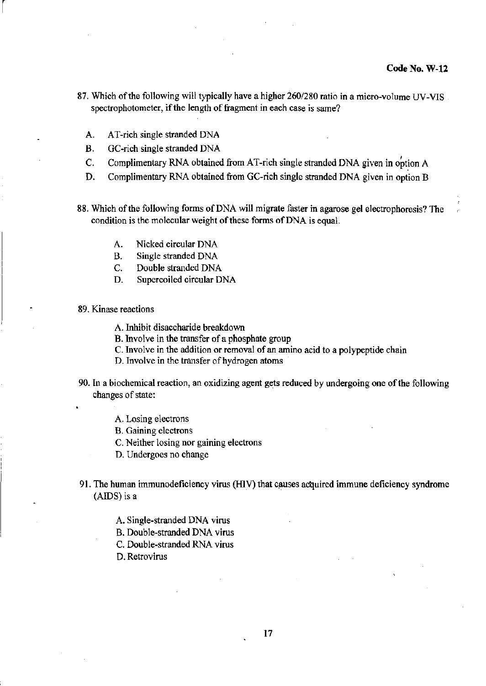- 87. Which of the following will typically have a higher *260/280* ratio in a micro-volume UV-VIS spectrophotometer, if the length of fragment in each case is same?
	- A. AT-rich single stranded DNA
	- B.
	- C. GC-rich single stranded DNA<br>Complimentary RNA obtained from AT-rich single stranded DNA given in option A
	- D. Complimentary RNA obtained from GC-rich single stranded DNA given in option B
- 88. Which of the following fonns of DNA will migrate faster in agarose gel electrophoresis? The condition is the molecular weight of these forms of DNA is equal.
	- A. Nicked circular DNA
	- B. Single stranded DNA
	- C. Double stranded DNA
	- D. Supercoiled circular DNA
- 89. Kinase reactions

 $\lceil$ 

- A. Inhibit disaccharide breakdown
- B. Involve in the transfer of a phosphate group
- C. Involve in the addition or removal of an amino acid to a polypeptide chain
- D. Involve in the transfer of hydrogen atoms
- 90. In a biochemical reaction, an oxidizing agent gets reduced by undergoing one of the following changes of state:
	- A. Losing electrons
	- B. Gaining electrons
	- C. Neither losing nor gaining electrons
	- D. Undergoes no change
- 91. The human immunodeficiency virus (HIV) that causes acquired immune deficiency syndrome (AIDS) is a
	- A. Single-stranded DNA virus
	- B. Double-stranded DNA virus
	- C. Double-stranded RNA virus
	- D. Retrovirus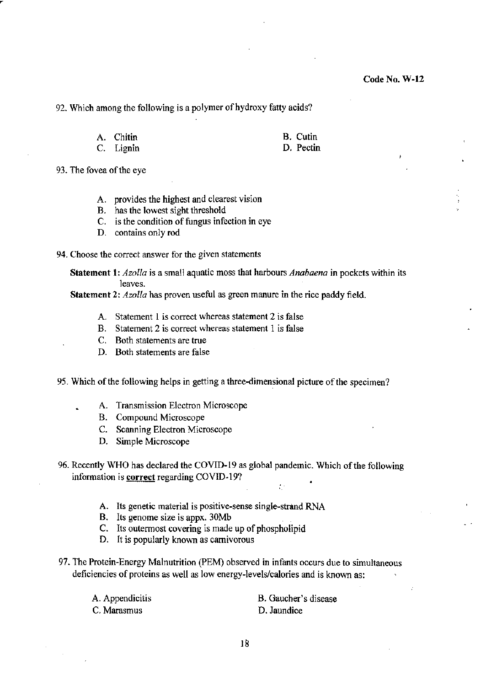92. Which among the following is a polymer of hydroxy fatty acids?

A. Chitin

B. Cutin

C. Lignin

D. Pectin

- 93. The fovea of the eye
	- A. provides the highest and clearest vision
	- B. has the lowest sight threshold
	- C. is the condition of fungus infection in eye
	- D. contains only rod
- 94. Choose the correct answer for the given statements

Statement 1: *Azalla* is a small aquatic moss that harbours *Anabaena* in pockets within its leaves.

Statement 2: *Azolla* has proven useful as green manure in the rice paddy field.

- A. Statement 1 is correct whereas statement 2 is false
- B. Statement 2 is correct whereas statement 1 is false
- C. Both statements are true
- D. Both statements are false
- 95. Which of the following helps in getting a three-dimensional picture of the specimen?
	- A. Transmission Electron Microscope
	- B. Compound Microscope
	- C. Scanning Electron Microscope
	- D. Simple Microscope
- 96. Recently WHO has declared the COVID-19 as global pandemic. Which of the following information is correct regarding COVID-19?
	- A. Its genetic material is positive·sense single-strand RNA
	- B. Its genome size is appx. 30Mb
	- C. Its outermost covering is made up of phospholipid
	- D. It is popularly known as carnivorous
- 97. The Protein·Energy Malnutrition (PEM) observed in infants occurs due to simultaneous deficiencies of proteins as well as low energy-levels/calories and is known as:

A. Appendicitis C. Marasmus

B. Gaucher's disease D. Jaundice

 $\mathcal{I}$  :